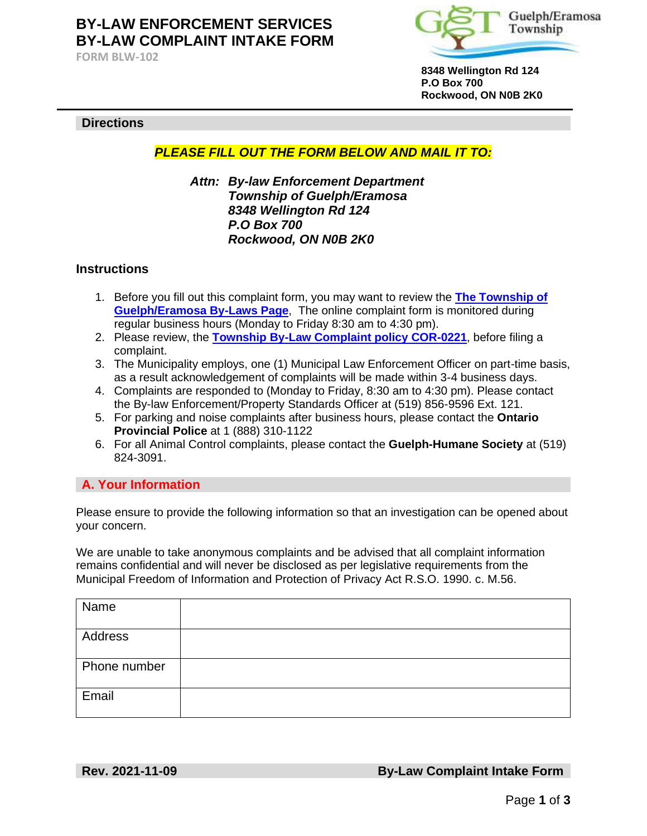# **BY-LAW ENFORCEMENT SERVICES BY-LAW COMPLAINT INTAKE FORM**

**FORM BLW-102**



**8348 Wellington Rd 124 P.O Box 700 Rockwood, ON N0B 2K0**

**Directions**

*PLEASE FILL OUT THE FORM BELOW AND MAIL IT TO:*

## *Attn: By-law Enforcement Department Township of Guelph/Eramosa 8348 Wellington Rd 124 P.O Box 700 Rockwood, ON N0B 2K0*

## **Instructions**

- 1. Before you fill out this complaint form, you may want to review the **The Township of Guelph/Eramosa By-Laws Page**, The online complaint form is monitored during regular business hours (Monday to Friday 8:30 am to 4:30 pm).
- 2. Please review, the **Township By-Law Complaint policy COR-0221**, before filing a complaint.
- 3. The Municipality employs, one (1) Municipal Law Enforcement Officer on part-time basis, as a result acknowledgement of complaints will be made within 3-4 business days.
- 4. Complaints are responded to (Monday to Friday, 8:30 am to 4:30 pm). Please contact the By-law Enforcement/Property Standards Officer at (519) 856-9596 Ext. 121.
- 5. For parking and noise complaints after business hours, please contact the **Ontario Provincial Police** at 1 (888) 310-1122
- 6. For all Animal Control complaints, please contact the **Guelph-Humane Society** at (519) 824-3091.

# **A. Your Information**

Please ensure to provide the following information so that an investigation can be opened about your concern.

We are unable to take anonymous complaints and be advised that all complaint information remains confidential and will never be disclosed as per legislative requirements from the Municipal Freedom of Information and Protection of Privacy Act R.S.O. 1990. c. M.56.

| Name         |  |
|--------------|--|
| Address      |  |
| Phone number |  |
| Email        |  |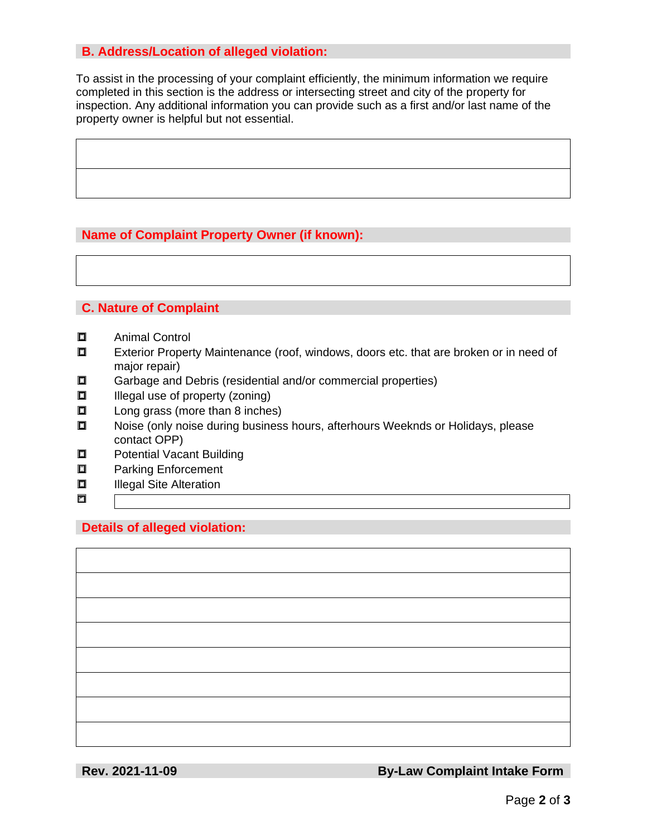# **B. Address/Location of alleged violation:**

To assist in the processing of your complaint efficiently, the minimum information we require completed in this section is the address or intersecting street and city of the property for inspection. Any additional information you can provide such as a first and/or last name of the property owner is helpful but not essential.

# **Name of Complaint Property Owner (if known):**

# **C. Nature of Complaint**

- ☐ Animal Control
- ☐ Exterior Property Maintenance (roof, windows, doors etc. that are broken or in need of major repair)
- ☐ Garbage and Debris (residential and/or commercial properties)
- ☐ Illegal use of property (zoning)
- ☐ Long grass (more than 8 inches)
- ☐ Noise (only noise during business hours, afterhours Weeknds or Holidays, please contact OPP)
- ☐ Potential Vacant Building
- ☐ Parking Enforcement
- ☐ Illegal Site Alteration
- ☐ ✔

# **Details of alleged violation:**

**Rev. 2021-11-09 By-Law Complaint Intake Form**